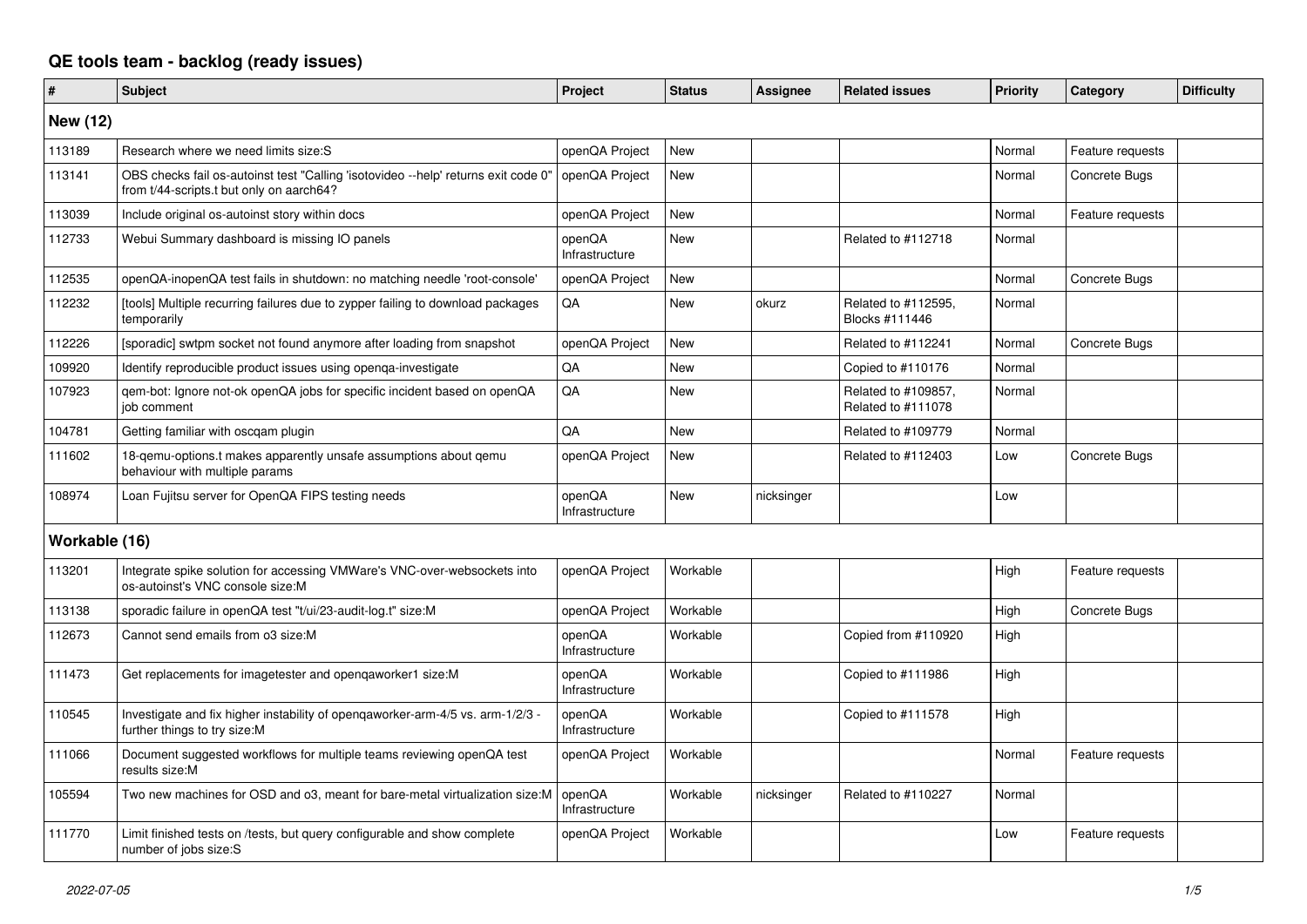## **QE tools team - backlog (ready issues)**

| #               | <b>Subject</b>                                                                                                                 | Project                  | <b>Status</b> | Assignee   | <b>Related issues</b>                     | <b>Priority</b> | Category         | <b>Difficulty</b> |
|-----------------|--------------------------------------------------------------------------------------------------------------------------------|--------------------------|---------------|------------|-------------------------------------------|-----------------|------------------|-------------------|
| <b>New (12)</b> |                                                                                                                                |                          |               |            |                                           |                 |                  |                   |
| 113189          | Research where we need limits size: S                                                                                          | openQA Project           | <b>New</b>    |            |                                           | Normal          | Feature requests |                   |
| 113141          | OBS checks fail os-autoinst test "Calling 'isotovideo --help' returns exit code 0"<br>from t/44-scripts.t but only on aarch64? | openQA Project           | <b>New</b>    |            |                                           | Normal          | Concrete Bugs    |                   |
| 113039          | Include original os-autoinst story within docs                                                                                 | openQA Project           | <b>New</b>    |            |                                           | Normal          | Feature requests |                   |
| 112733          | Webui Summary dashboard is missing IO panels                                                                                   | openQA<br>Infrastructure | <b>New</b>    |            | Related to #112718                        | Normal          |                  |                   |
| 112535          | openQA-inopenQA test fails in shutdown: no matching needle 'root-console'                                                      | openQA Project           | <b>New</b>    |            |                                           | Normal          | Concrete Bugs    |                   |
| 112232          | [tools] Multiple recurring failures due to zypper failing to download packages<br>temporarily                                  | QA                       | <b>New</b>    | okurz      | Related to #112595,<br>Blocks #111446     | Normal          |                  |                   |
| 112226          | [sporadic] swtpm socket not found anymore after loading from snapshot                                                          | openQA Project           | <b>New</b>    |            | Related to #112241                        | Normal          | Concrete Bugs    |                   |
| 109920          | Identify reproducible product issues using openga-investigate                                                                  | QA                       | <b>New</b>    |            | Copied to #110176                         | Normal          |                  |                   |
| 107923          | qem-bot: Ignore not-ok openQA jobs for specific incident based on openQA<br>iob comment                                        | QA                       | <b>New</b>    |            | Related to #109857,<br>Related to #111078 | Normal          |                  |                   |
| 104781          | Getting familiar with oscgam plugin                                                                                            | QA                       | <b>New</b>    |            | Related to #109779                        | Normal          |                  |                   |
| 111602          | 18-gemu-options.t makes apparently unsafe assumptions about gemu<br>behaviour with multiple params                             | openQA Project           | <b>New</b>    |            | Related to #112403                        | Low             | Concrete Bugs    |                   |
| 108974          | Loan Fujitsu server for OpenQA FIPS testing needs                                                                              | openQA<br>Infrastructure | <b>New</b>    | nicksinger |                                           | Low             |                  |                   |
| Workable (16)   |                                                                                                                                |                          |               |            |                                           |                 |                  |                   |
| 113201          | Integrate spike solution for accessing VMWare's VNC-over-websockets into<br>os-autoinst's VNC console size:M                   | openQA Project           | Workable      |            |                                           | High            | Feature requests |                   |
| 113138          | sporadic failure in openQA test "t/ui/23-audit-log.t" size:M                                                                   | openQA Project           | Workable      |            |                                           | High            | Concrete Bugs    |                   |
| 112673          | Cannot send emails from o3 size:M                                                                                              | openQA<br>Infrastructure | Workable      |            | Copied from #110920                       | High            |                  |                   |
| 111473          | Get replacements for imagetester and openqaworker1 size:M                                                                      | openQA<br>Infrastructure | Workable      |            | Copied to #111986                         | High            |                  |                   |
| 110545          | Investigate and fix higher instability of openqaworker-arm-4/5 vs. arm-1/2/3 -<br>further things to try size:M                 | openQA<br>Infrastructure | Workable      |            | Copied to #111578                         | High            |                  |                   |
| 111066          | Document suggested workflows for multiple teams reviewing openQA test<br>results size:M                                        | openQA Project           | Workable      |            |                                           | Normal          | Feature requests |                   |
| 105594          | Two new machines for OSD and 03, meant for bare-metal virtualization size: M                                                   | openQA<br>Infrastructure | Workable      | nicksinger | Related to #110227                        | Normal          |                  |                   |
| 111770          | Limit finished tests on /tests, but query configurable and show complete<br>number of jobs size:S                              | openQA Project           | Workable      |            |                                           | Low             | Feature requests |                   |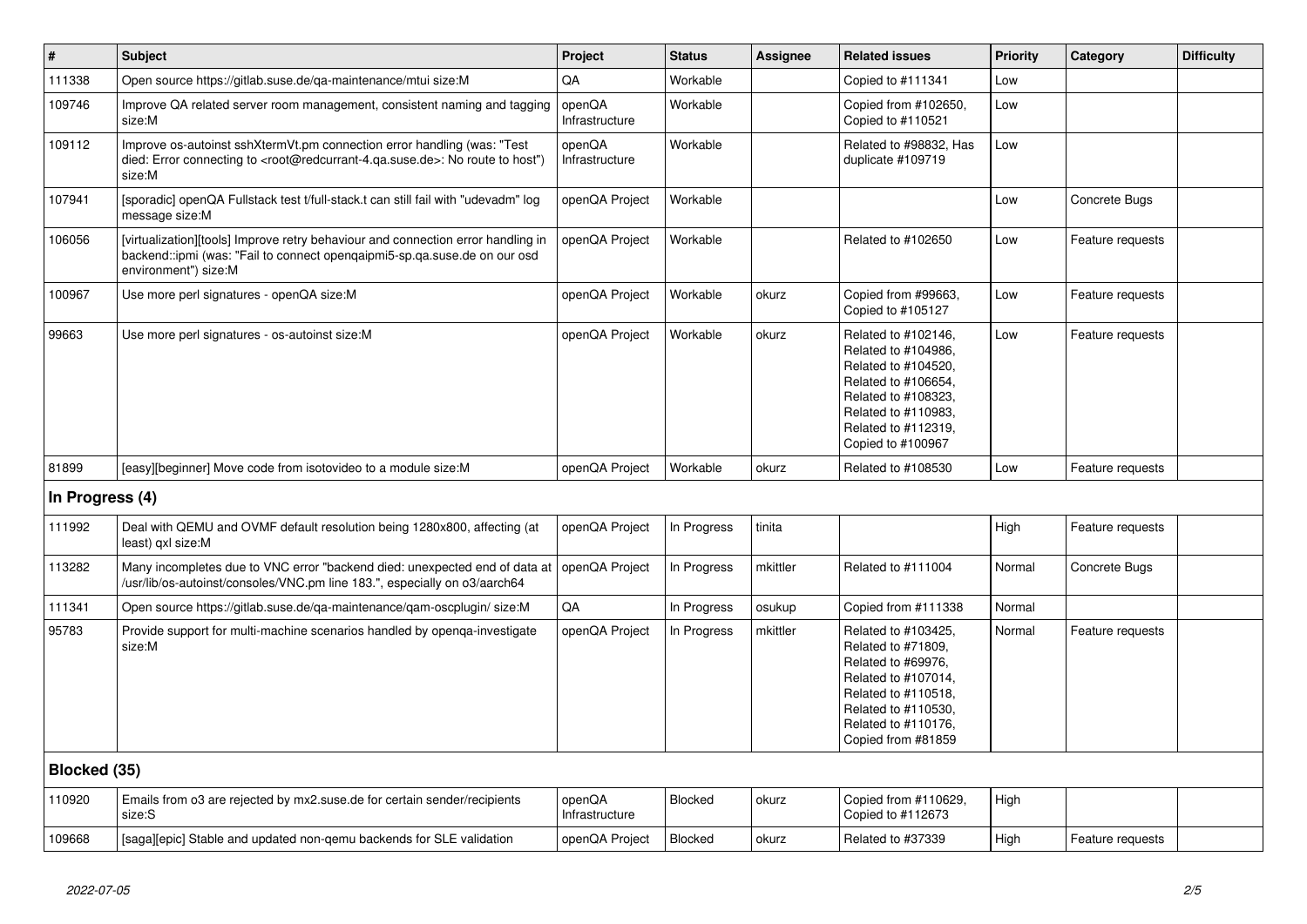| $\vert$ #       | <b>Subject</b>                                                                                                                                                                                    | Project                  | <b>Status</b> | Assignee | <b>Related issues</b>                                                                                                                                                              | Priority | Category         | <b>Difficulty</b> |
|-----------------|---------------------------------------------------------------------------------------------------------------------------------------------------------------------------------------------------|--------------------------|---------------|----------|------------------------------------------------------------------------------------------------------------------------------------------------------------------------------------|----------|------------------|-------------------|
| 111338          | Open source https://gitlab.suse.de/ga-maintenance/mtui size:M                                                                                                                                     | QA                       | Workable      |          | Copied to #111341                                                                                                                                                                  | Low      |                  |                   |
| 109746          | Improve QA related server room management, consistent naming and tagging<br>size:M                                                                                                                | openQA<br>Infrastructure | Workable      |          | Copied from #102650,<br>Copied to #110521                                                                                                                                          | Low      |                  |                   |
| 109112          | Improve os-autoinst sshXtermVt.pm connection error handling (was: "Test<br>died: Error connecting to <root@redcurrant-4.qa.suse.de>: No route to host")<br/>size:M</root@redcurrant-4.qa.suse.de> | openQA<br>Infrastructure | Workable      |          | Related to #98832, Has<br>duplicate #109719                                                                                                                                        | Low      |                  |                   |
| 107941          | [sporadic] openQA Fullstack test t/full-stack.t can still fail with "udevadm" log<br>message size:M                                                                                               | openQA Project           | Workable      |          |                                                                                                                                                                                    | Low      | Concrete Bugs    |                   |
| 106056          | [virtualization][tools] Improve retry behaviour and connection error handling in<br>backend::ipmi (was: "Fail to connect opengaipmi5-sp.qa.suse.de on our osd<br>environment") size:M             | openQA Project           | Workable      |          | Related to #102650                                                                                                                                                                 | Low      | Feature requests |                   |
| 100967          | Use more perl signatures - openQA size:M                                                                                                                                                          | openQA Project           | Workable      | okurz    | Copied from #99663,<br>Copied to #105127                                                                                                                                           | Low      | Feature requests |                   |
| 99663           | Use more perl signatures - os-autoinst size:M                                                                                                                                                     | openQA Project           | Workable      | okurz    | Related to #102146,<br>Related to #104986,<br>Related to #104520,<br>Related to #106654,<br>Related to #108323,<br>Related to #110983,<br>Related to #112319,<br>Copied to #100967 | Low      | Feature requests |                   |
| 81899           | [easy][beginner] Move code from isotovideo to a module size:M                                                                                                                                     | openQA Project           | Workable      | okurz    | Related to #108530                                                                                                                                                                 | Low      | Feature requests |                   |
| In Progress (4) |                                                                                                                                                                                                   |                          |               |          |                                                                                                                                                                                    |          |                  |                   |
| 111992          | Deal with QEMU and OVMF default resolution being 1280x800, affecting (at<br>least) gxl size:M                                                                                                     | openQA Project           | In Progress   | tinita   |                                                                                                                                                                                    | High     | Feature requests |                   |
| 113282          | Many incompletes due to VNC error "backend died: unexpected end of data at<br>/usr/lib/os-autoinst/consoles/VNC.pm line 183.", especially on o3/aarch64                                           | openQA Project           | In Progress   | mkittler | Related to #111004                                                                                                                                                                 | Normal   | Concrete Bugs    |                   |
| 111341          | Open source https://gitlab.suse.de/qa-maintenance/qam-oscplugin/ size:M                                                                                                                           | QA                       | In Progress   | osukup   | Copied from #111338                                                                                                                                                                | Normal   |                  |                   |
| 95783           | Provide support for multi-machine scenarios handled by openqa-investigate<br>size:M                                                                                                               | openQA Project           | In Progress   | mkittler | Related to #103425,<br>Related to #71809,<br>Related to #69976,<br>Related to #107014,<br>Related to #110518,<br>Related to #110530,<br>Related to #110176,<br>Copied from #81859  | Normal   | Feature requests |                   |
| Blocked (35)    |                                                                                                                                                                                                   |                          |               |          |                                                                                                                                                                                    |          |                  |                   |
| 110920          | Emails from o3 are rejected by mx2.suse.de for certain sender/recipients<br>size:S                                                                                                                | openQA<br>Infrastructure | Blocked       | okurz    | Copied from #110629,<br>Copied to #112673                                                                                                                                          | High     |                  |                   |
| 109668          | [saga][epic] Stable and updated non-qemu backends for SLE validation                                                                                                                              | openQA Project           | Blocked       | okurz    | Related to #37339                                                                                                                                                                  | High     | Feature requests |                   |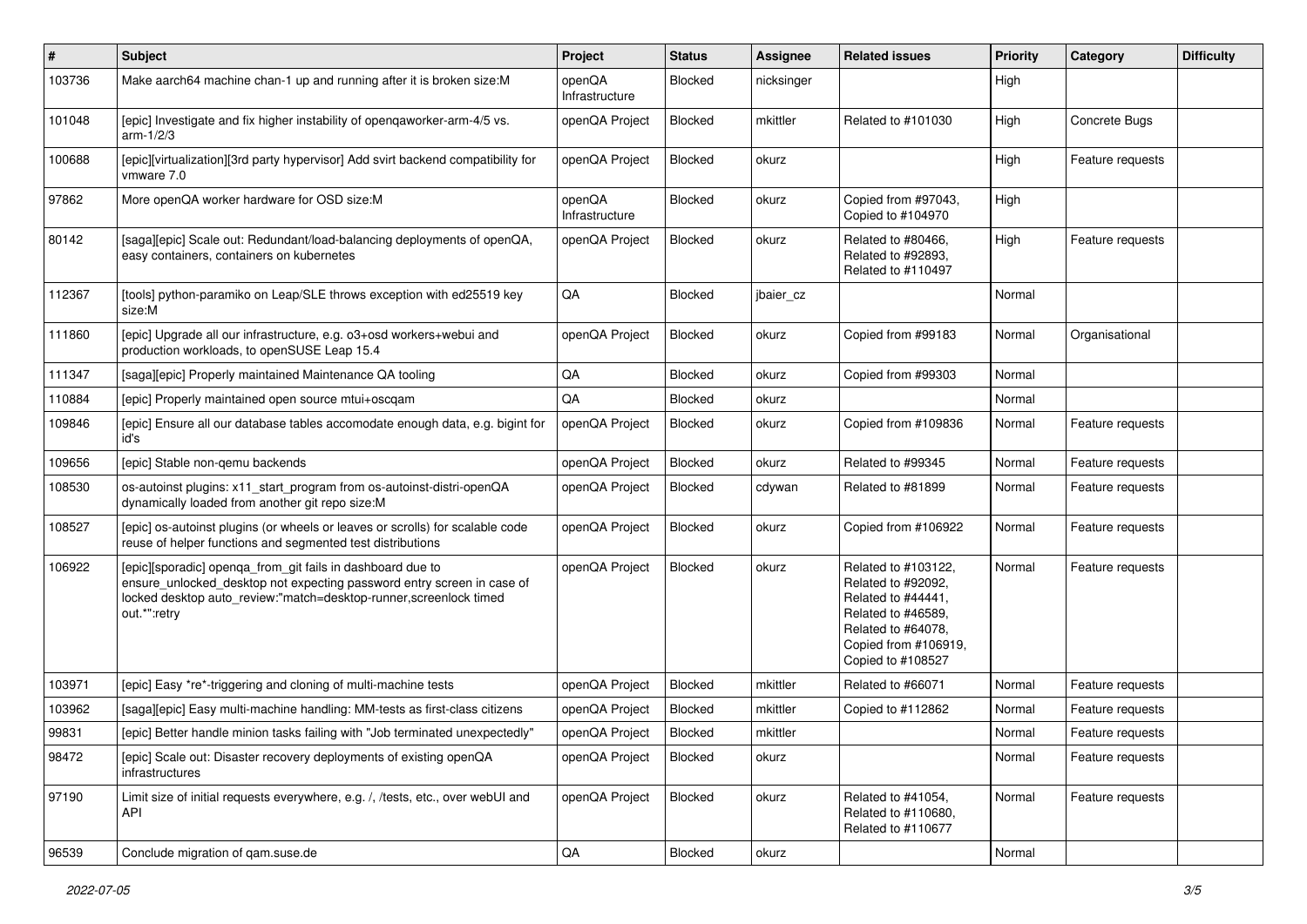| #      | <b>Subject</b>                                                                                                                                                                                                            | Project                  | <b>Status</b> | Assignee   | <b>Related issues</b>                                                                                                                                    | <b>Priority</b> | Category         | <b>Difficulty</b> |
|--------|---------------------------------------------------------------------------------------------------------------------------------------------------------------------------------------------------------------------------|--------------------------|---------------|------------|----------------------------------------------------------------------------------------------------------------------------------------------------------|-----------------|------------------|-------------------|
| 103736 | Make aarch64 machine chan-1 up and running after it is broken size: M                                                                                                                                                     | openQA<br>Infrastructure | Blocked       | nicksinger |                                                                                                                                                          | High            |                  |                   |
| 101048 | [epic] Investigate and fix higher instability of openqaworker-arm-4/5 vs.<br>arm-1/2/3                                                                                                                                    | openQA Project           | Blocked       | mkittler   | Related to #101030                                                                                                                                       | High            | Concrete Bugs    |                   |
| 100688 | [epic][virtualization][3rd party hypervisor] Add svirt backend compatibility for<br>vmware 7.0                                                                                                                            | openQA Project           | Blocked       | okurz      |                                                                                                                                                          | High            | Feature requests |                   |
| 97862  | More openQA worker hardware for OSD size:M                                                                                                                                                                                | openQA<br>Infrastructure | Blocked       | okurz      | Copied from #97043,<br>Copied to #104970                                                                                                                 | High            |                  |                   |
| 80142  | [saga][epic] Scale out: Redundant/load-balancing deployments of openQA,<br>easy containers, containers on kubernetes                                                                                                      | openQA Project           | Blocked       | okurz      | Related to #80466,<br>Related to #92893,<br>Related to #110497                                                                                           | High            | Feature requests |                   |
| 112367 | [tools] python-paramiko on Leap/SLE throws exception with ed25519 key<br>size:M                                                                                                                                           | QA                       | Blocked       | jbaier_cz  |                                                                                                                                                          | Normal          |                  |                   |
| 111860 | [epic] Upgrade all our infrastructure, e.g. o3+osd workers+webui and<br>production workloads, to openSUSE Leap 15.4                                                                                                       | openQA Project           | Blocked       | okurz      | Copied from #99183                                                                                                                                       | Normal          | Organisational   |                   |
| 111347 | [saga][epic] Properly maintained Maintenance QA tooling                                                                                                                                                                   | QA                       | Blocked       | okurz      | Copied from #99303                                                                                                                                       | Normal          |                  |                   |
| 110884 | [epic] Properly maintained open source mtui+oscgam                                                                                                                                                                        | QA                       | Blocked       | okurz      |                                                                                                                                                          | Normal          |                  |                   |
| 109846 | [epic] Ensure all our database tables accomodate enough data, e.g. bigint for<br>id's                                                                                                                                     | openQA Project           | Blocked       | okurz      | Copied from #109836                                                                                                                                      | Normal          | Feature requests |                   |
| 109656 | [epic] Stable non-gemu backends                                                                                                                                                                                           | openQA Project           | Blocked       | okurz      | Related to #99345                                                                                                                                        | Normal          | Feature requests |                   |
| 108530 | os-autoinst plugins: x11_start_program from os-autoinst-distri-openQA<br>dynamically loaded from another git repo size:M                                                                                                  | openQA Project           | Blocked       | cdywan     | Related to #81899                                                                                                                                        | Normal          | Feature requests |                   |
| 108527 | [epic] os-autoinst plugins (or wheels or leaves or scrolls) for scalable code<br>reuse of helper functions and segmented test distributions                                                                               | openQA Project           | Blocked       | okurz      | Copied from #106922                                                                                                                                      | Normal          | Feature requests |                   |
| 106922 | [epic][sporadic] openqa_from_git fails in dashboard due to<br>ensure_unlocked_desktop not expecting password entry screen in case of<br>locked desktop auto_review:"match=desktop-runner,screenlock timed<br>out.*":retry | openQA Project           | Blocked       | okurz      | Related to #103122,<br>Related to #92092,<br>Related to #44441,<br>Related to #46589,<br>Related to #64078,<br>Copied from #106919,<br>Copied to #108527 | Normal          | Feature requests |                   |
| 103971 | [epic] Easy *re*-triggering and cloning of multi-machine tests                                                                                                                                                            | openQA Project           | Blocked       | mkittler   | Related to #66071                                                                                                                                        | Normal          | Feature requests |                   |
| 103962 | [saga][epic] Easy multi-machine handling: MM-tests as first-class citizens                                                                                                                                                | openQA Project           | Blocked       | mkittler   | Copied to #112862                                                                                                                                        | Normal          | Feature requests |                   |
| 99831  | [epic] Better handle minion tasks failing with "Job terminated unexpectedly"                                                                                                                                              | openQA Project           | Blocked       | mkittler   |                                                                                                                                                          | Normal          | Feature requests |                   |
| 98472  | [epic] Scale out: Disaster recovery deployments of existing openQA<br>infrastructures                                                                                                                                     | openQA Project           | Blocked       | okurz      |                                                                                                                                                          | Normal          | Feature requests |                   |
| 97190  | Limit size of initial requests everywhere, e.g. /, /tests, etc., over webUI and<br><b>API</b>                                                                                                                             | openQA Project           | Blocked       | okurz      | Related to #41054,<br>Related to #110680,<br>Related to #110677                                                                                          | Normal          | Feature requests |                   |
| 96539  | Conclude migration of gam.suse.de                                                                                                                                                                                         | QA                       | Blocked       | okurz      |                                                                                                                                                          | Normal          |                  |                   |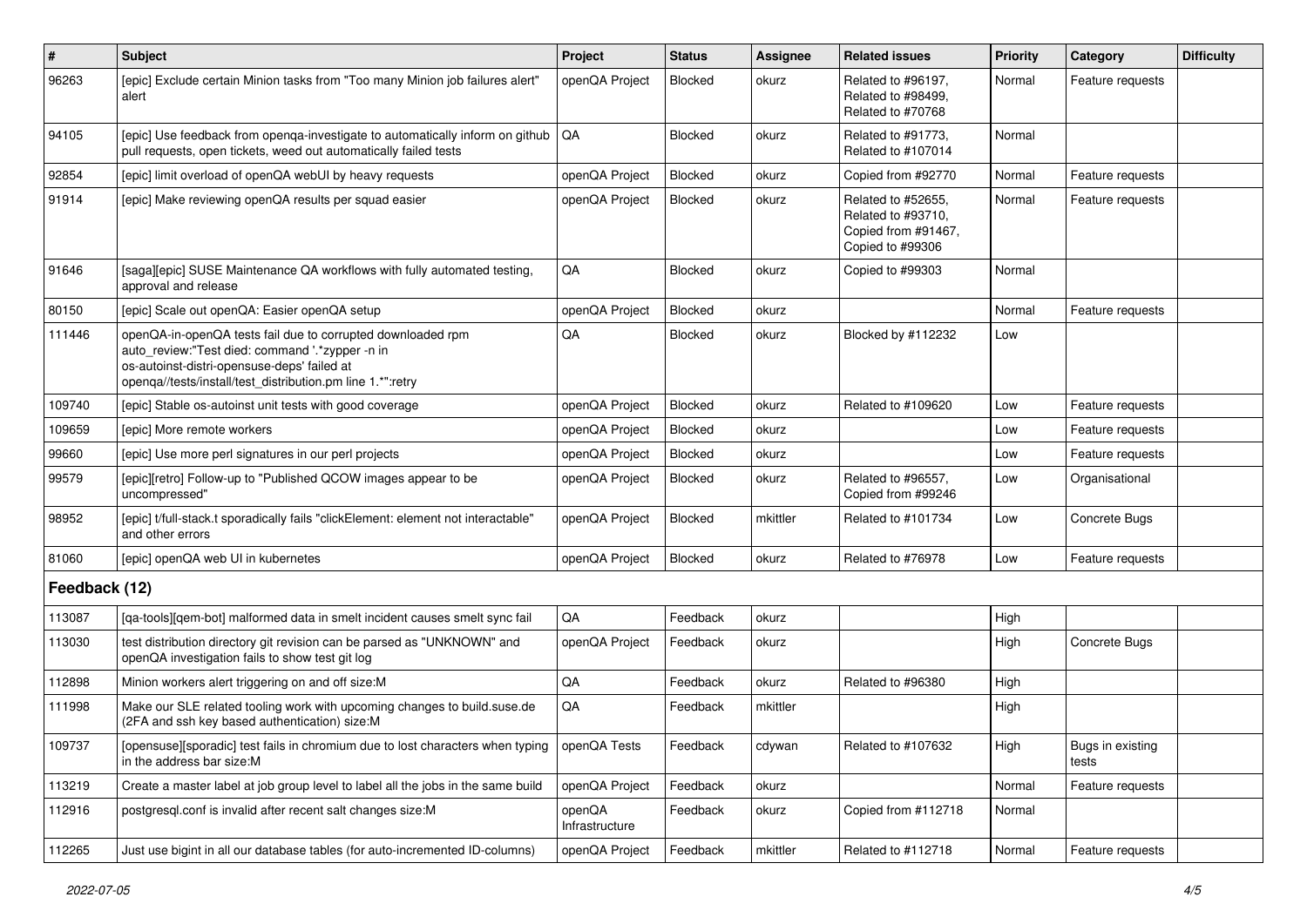| $\vert$ #     | <b>Subject</b>                                                                                                                                                                                                              | Project                  | <b>Status</b> | <b>Assignee</b> | <b>Related issues</b>                                                               | Priority | Category                  | <b>Difficulty</b> |
|---------------|-----------------------------------------------------------------------------------------------------------------------------------------------------------------------------------------------------------------------------|--------------------------|---------------|-----------------|-------------------------------------------------------------------------------------|----------|---------------------------|-------------------|
| 96263         | [epic] Exclude certain Minion tasks from "Too many Minion job failures alert"<br>alert                                                                                                                                      | openQA Project           | Blocked       | okurz           | Related to #96197,<br>Related to #98499.<br>Related to #70768                       | Normal   | Feature requests          |                   |
| 94105         | [epic] Use feedback from openga-investigate to automatically inform on github<br>pull requests, open tickets, weed out automatically failed tests                                                                           | <b>QA</b>                | Blocked       | okurz           | Related to #91773,<br>Related to #107014                                            | Normal   |                           |                   |
| 92854         | [epic] limit overload of openQA webUI by heavy requests                                                                                                                                                                     | openQA Project           | Blocked       | okurz           | Copied from #92770                                                                  | Normal   | Feature requests          |                   |
| 91914         | [epic] Make reviewing openQA results per squad easier                                                                                                                                                                       | openQA Project           | Blocked       | okurz           | Related to #52655,<br>Related to #93710,<br>Copied from #91467,<br>Copied to #99306 | Normal   | Feature requests          |                   |
| 91646         | [saga][epic] SUSE Maintenance QA workflows with fully automated testing,<br>approval and release                                                                                                                            | QA                       | Blocked       | okurz           | Copied to #99303                                                                    | Normal   |                           |                   |
| 80150         | [epic] Scale out openQA: Easier openQA setup                                                                                                                                                                                | openQA Project           | Blocked       | okurz           |                                                                                     | Normal   | Feature requests          |                   |
| 111446        | openQA-in-openQA tests fail due to corrupted downloaded rpm<br>auto_review:"Test died: command '.*zypper -n in<br>os-autoinst-distri-opensuse-deps' failed at<br>openqa//tests/install/test_distribution.pm line 1.*":retry | QA                       | Blocked       | okurz           | Blocked by #112232                                                                  | Low      |                           |                   |
| 109740        | [epic] Stable os-autoinst unit tests with good coverage                                                                                                                                                                     | openQA Project           | Blocked       | okurz           | Related to #109620                                                                  | Low      | Feature requests          |                   |
| 109659        | [epic] More remote workers                                                                                                                                                                                                  | openQA Project           | Blocked       | okurz           |                                                                                     | Low      | Feature requests          |                   |
| 99660         | [epic] Use more perl signatures in our perl projects                                                                                                                                                                        | openQA Project           | Blocked       | okurz           |                                                                                     | Low      | Feature requests          |                   |
| 99579         | [epic][retro] Follow-up to "Published QCOW images appear to be<br>uncompressed"                                                                                                                                             | openQA Project           | Blocked       | okurz           | Related to #96557,<br>Copied from #99246                                            | Low      | Organisational            |                   |
| 98952         | [epic] t/full-stack.t sporadically fails "clickElement: element not interactable"<br>and other errors                                                                                                                       | openQA Project           | Blocked       | mkittler        | Related to #101734                                                                  | Low      | Concrete Bugs             |                   |
| 81060         | [epic] openQA web UI in kubernetes                                                                                                                                                                                          | openQA Project           | Blocked       | okurz           | Related to #76978                                                                   | Low      | Feature requests          |                   |
| Feedback (12) |                                                                                                                                                                                                                             |                          |               |                 |                                                                                     |          |                           |                   |
| 113087        | [qa-tools][qem-bot] malformed data in smelt incident causes smelt sync fail                                                                                                                                                 | QA                       | Feedback      | okurz           |                                                                                     | High     |                           |                   |
| 113030        | test distribution directory git revision can be parsed as "UNKNOWN" and<br>openQA investigation fails to show test git log                                                                                                  | openQA Project           | Feedback      | okurz           |                                                                                     | High     | Concrete Bugs             |                   |
| 112898        | Minion workers alert triggering on and off size:M                                                                                                                                                                           | QA                       | Feedback      | okurz           | Related to #96380                                                                   | High     |                           |                   |
| 111998        | Make our SLE related tooling work with upcoming changes to build suse de<br>(2FA and ssh key based authentication) size:M                                                                                                   | QA                       | Feedback      | mkittler        |                                                                                     | High     |                           |                   |
| 109737        | [opensuse][sporadic] test fails in chromium due to lost characters when typing<br>in the address bar size:M                                                                                                                 | openQA Tests             | Feedback      | cdywan          | Related to #107632                                                                  | High     | Bugs in existing<br>tests |                   |
| 113219        | Create a master label at job group level to label all the jobs in the same build                                                                                                                                            | openQA Project           | Feedback      | okurz           |                                                                                     | Normal   | Feature requests          |                   |
| 112916        | postgresql.conf is invalid after recent salt changes size:M                                                                                                                                                                 | openQA<br>Infrastructure | Feedback      | okurz           | Copied from #112718                                                                 | Normal   |                           |                   |
| 112265        | Just use bigint in all our database tables (for auto-incremented ID-columns)                                                                                                                                                | openQA Project           | Feedback      | mkittler        | Related to #112718                                                                  | Normal   | Feature requests          |                   |